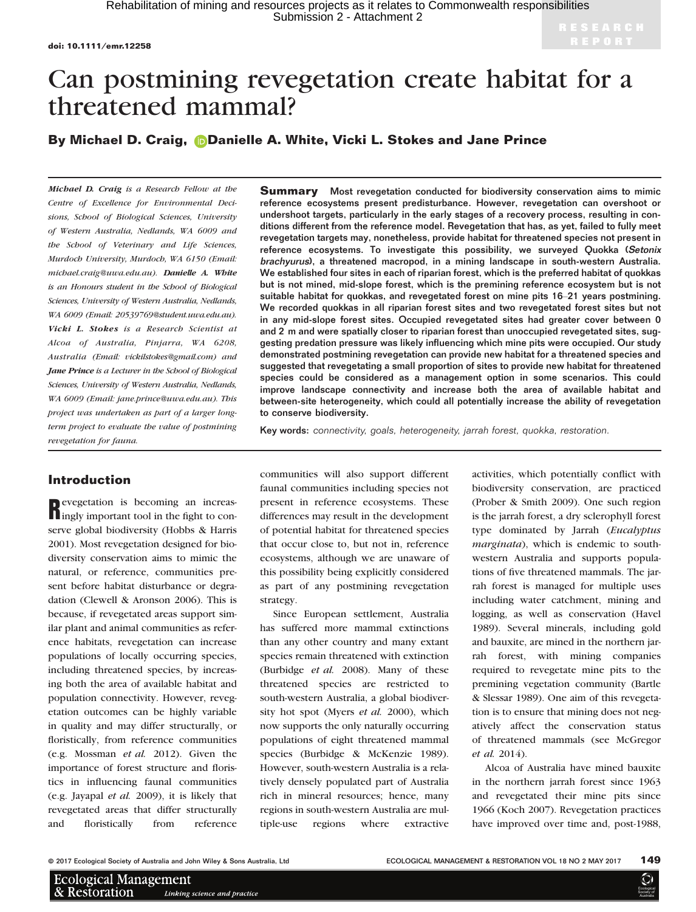doi: 10.1111/emr.12258

# Can postmining revegetation create habitat for a threatened mammal?

# By Michael D. Craig, Danielle A. White, Vicki L. Stokes and Jane Prince

Michael D. Craig is a Research Fellow at the Centre of Excellence for Environmental Decisions, School of Biological Sciences, University of Western Australia, Nedlands, WA 6009 and the School of Veterinary and Life Sciences, Murdoch University, Murdoch, WA 6150 (Email: michael.craig@uwa.edu.au). Danielle A. White is an Honours student in the School of Biological Sciences, University of Western Australia, Nedlands, WA 6009 (Email: 20539769@student.uwa.edu.au). Vicki L. Stokes is a Research Scientist at Alcoa of Australia, Pinjarra, WA 6208, Australia (Email: vickilstokes@gmail.com) and Jane Prince is a Lecturer in the School of Biological Sciences, University of Western Australia, Nedlands, WA 6009 (Email: jane.prince@uwa.edu.au). This project was undertaken as part of a larger longterm project to evaluate the value of postmining revegetation for fauna.

#### reference ecosystems present predisturbance. However, revegetation can overshoot or undershoot targets, particularly in the early stages of a recovery process, resulting in conditions different from the reference model. Revegetation that has, as yet, failed to fully meet revegetation targets may, nonetheless, provide habitat for threatened species not present in reference ecosystems. To investigate this possibility, we surveyed Quokka (Setonix brachyurus), a threatened macropod, in a mining landscape in south-western Australia. We established four sites in each of riparian forest, which is the preferred habitat of quokkas but is not mined, mid-slope forest, which is the premining reference ecosystem but is not suitable habitat for quokkas, and revegetated forest on mine pits 16–21 years postmining. We recorded quokkas in all riparian forest sites and two revegetated forest sites but not in any mid-slope forest sites. Occupied revegetated sites had greater cover between 0 and 2 m and were spatially closer to riparian forest than unoccupied revegetated sites, suggesting predation pressure was likely influencing which mine pits were occupied. Our study demonstrated postmining revegetation can provide new habitat for a threatened species and suggested that revegetating a small proportion of sites to provide new habitat for threatened species could be considered as a management option in some scenarios. This could improve landscape connectivity and increase both the area of available habitat and between-site heterogeneity, which could all potentially increase the ability of revegetation to conserve biodiversity.

**Summary** Most revegetation conducted for biodiversity conservation aims to mimic

Key words: connectivity, goals, heterogeneity, jarrah forest, quokka, restoration.

Introduction

Revegetation is becoming an increased ingly important tool in the fight to conevegetation is becoming an increasserve global biodiversity (Hobbs & Harris 2001). Most revegetation designed for biodiversity conservation aims to mimic the natural, or reference, communities present before habitat disturbance or degradation (Clewell & Aronson 2006). This is because, if revegetated areas support similar plant and animal communities as reference habitats, revegetation can increase populations of locally occurring species, including threatened species, by increasing both the area of available habitat and population connectivity. However, revegetation outcomes can be highly variable in quality and may differ structurally, or floristically, from reference communities (e.g. Mossman et al. 2012). Given the importance of forest structure and floristics in influencing faunal communities (e.g. Jayapal et al. 2009), it is likely that revegetated areas that differ structurally and floristically from reference

communities will also support different faunal communities including species not present in reference ecosystems. These differences may result in the development of potential habitat for threatened species that occur close to, but not in, reference ecosystems, although we are unaware of this possibility being explicitly considered as part of any postmining revegetation strategy.

Since European settlement, Australia has suffered more mammal extinctions than any other country and many extant species remain threatened with extinction (Burbidge et al. 2008). Many of these threatened species are restricted to south-western Australia, a global biodiversity hot spot (Myers et al. 2000), which now supports the only naturally occurring populations of eight threatened mammal species (Burbidge & McKenzie 1989). However, south-western Australia is a relatively densely populated part of Australia rich in mineral resources; hence, many regions in south-western Australia are multiple-use regions where extractive

activities, which potentially conflict with biodiversity conservation, are practiced (Prober & Smith 2009). One such region is the jarrah forest, a dry sclerophyll forest type dominated by Jarrah (Eucalyptus marginata), which is endemic to southwestern Australia and supports populations of five threatened mammals. The jarrah forest is managed for multiple uses including water catchment, mining and logging, as well as conservation (Havel 1989). Several minerals, including gold and bauxite, are mined in the northern jarrah forest, with mining companies required to revegetate mine pits to the premining vegetation community (Bartle & Slessar 1989). One aim of this revegetation is to ensure that mining does not negatively affect the conservation status of threatened mammals (see McGregor et al. 2014).

Alcoa of Australia have mined bauxite in the northern jarrah forest since 1963 and revegetated their mine pits since 1966 (Koch 2007). Revegetation practices have improved over time and, post-1988,

> **Ecologica** Society of **Australia**

 $\mathbf{\Omega}$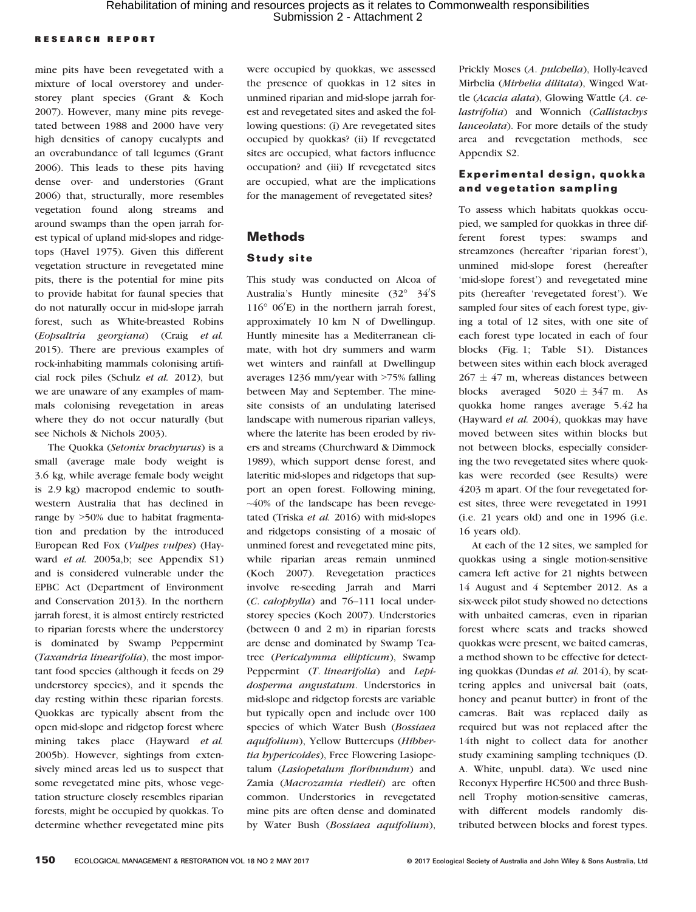mine pits have been revegetated with a mixture of local overstorey and understorey plant species (Grant & Koch 2007). However, many mine pits revegetated between 1988 and 2000 have very high densities of canopy eucalypts and an overabundance of tall legumes (Grant 2006). This leads to these pits having dense over- and understories (Grant 2006) that, structurally, more resembles vegetation found along streams and around swamps than the open jarrah forest typical of upland mid-slopes and ridgetops (Havel 1975). Given this different vegetation structure in revegetated mine pits, there is the potential for mine pits to provide habitat for faunal species that do not naturally occur in mid-slope jarrah forest, such as White-breasted Robins (Eopsaltria georgiana) (Craig et al. 2015). There are previous examples of rock-inhabiting mammals colonising artificial rock piles (Schulz et al. 2012), but we are unaware of any examples of mammals colonising revegetation in areas where they do not occur naturally (but see Nichols & Nichols 2003).

The Quokka (Setonix brachyurus) is a small (average male body weight is 3.6 kg, while average female body weight is 2.9 kg) macropod endemic to southwestern Australia that has declined in range by >50% due to habitat fragmentation and predation by the introduced European Red Fox (Vulpes vulpes) (Hayward et al. 2005a,b; see Appendix S1) and is considered vulnerable under the EPBC Act (Department of Environment and Conservation 2013). In the northern jarrah forest, it is almost entirely restricted to riparian forests where the understorey is dominated by Swamp Peppermint (Taxandria linearifolia), the most important food species (although it feeds on 29 understorey species), and it spends the day resting within these riparian forests. Quokkas are typically absent from the open mid-slope and ridgetop forest where mining takes place (Hayward et al. 2005b). However, sightings from extensively mined areas led us to suspect that some revegetated mine pits, whose vegetation structure closely resembles riparian forests, might be occupied by quokkas. To determine whether revegetated mine pits

were occupied by quokkas, we assessed the presence of quokkas in 12 sites in unmined riparian and mid-slope jarrah forest and revegetated sites and asked the following questions: (i) Are revegetated sites occupied by quokkas? (ii) If revegetated sites are occupied, what factors influence occupation? and (iii) If revegetated sites are occupied, what are the implications for the management of revegetated sites?

# Methods

#### Study site

This study was conducted on Alcoa of Australia's Huntly minesite  $(32^{\circ} \quad 34^{\prime}\text{S})$  $116^{\circ}$  06'E) in the northern jarrah forest, approximately 10 km N of Dwellingup. Huntly minesite has a Mediterranean climate, with hot dry summers and warm wet winters and rainfall at Dwellingup averages 1236 mm/year with >75% falling between May and September. The minesite consists of an undulating laterised landscape with numerous riparian valleys, where the laterite has been eroded by rivers and streams (Churchward & Dimmock 1989), which support dense forest, and lateritic mid-slopes and ridgetops that support an open forest. Following mining,  $~10\%$  of the landscape has been revegetated (Triska et al. 2016) with mid-slopes and ridgetops consisting of a mosaic of unmined forest and revegetated mine pits, while riparian areas remain unmined (Koch 2007). Revegetation practices involve re-seeding Jarrah and Marri (C. calophylla) and 76–111 local understorey species (Koch 2007). Understories (between 0 and 2 m) in riparian forests are dense and dominated by Swamp Teatree (Pericalymma ellipticum), Swamp Peppermint (T. linearifolia) and Lepidosperma angustatum. Understories in mid-slope and ridgetop forests are variable but typically open and include over 100 species of which Water Bush (Bossiaea aquifolium), Yellow Buttercups (Hibbertia hypericoides), Free Flowering Lasiopetalum (Lasiopetalum floribundum) and Zamia (Macrozamia riedleii) are often common. Understories in revegetated mine pits are often dense and dominated by Water Bush (Bossiaea aquifolium),

Prickly Moses (A. pulchella), Holly-leaved Mirbelia (Mirbelia dilitata), Winged Wattle (Acacia alata), Glowing Wattle (A. celastrifolia) and Wonnich (Callistachys lanceolata). For more details of the study area and revegetation methods, see Appendix S2.

# Experimental design, quokka and vegetation sampling

To assess which habitats quokkas occupied, we sampled for quokkas in three different forest types: swamps and streamzones (hereafter 'riparian forest'), unmined mid-slope forest (hereafter 'mid-slope forest') and revegetated mine pits (hereafter 'revegetated forest'). We sampled four sites of each forest type, giving a total of 12 sites, with one site of each forest type located in each of four blocks (Fig. 1; Table S1). Distances between sites within each block averaged  $267 \pm 47$  m, whereas distances between blocks averaged  $5020 \pm 347$  m. As quokka home ranges average 5.42 ha (Hayward et al. 2004), quokkas may have moved between sites within blocks but not between blocks, especially considering the two revegetated sites where quokkas were recorded (see Results) were 4203 m apart. Of the four revegetated forest sites, three were revegetated in 1991 (i.e. 21 years old) and one in 1996 (i.e. 16 years old).

At each of the 12 sites, we sampled for quokkas using a single motion-sensitive camera left active for 21 nights between 14 August and 4 September 2012. As a six-week pilot study showed no detections with unbaited cameras, even in riparian forest where scats and tracks showed quokkas were present, we baited cameras, a method shown to be effective for detecting quokkas (Dundas et al. 2014), by scattering apples and universal bait (oats, honey and peanut butter) in front of the cameras. Bait was replaced daily as required but was not replaced after the 14th night to collect data for another study examining sampling techniques (D. A. White, unpubl. data). We used nine Reconyx Hyperfire HC500 and three Bushnell Trophy motion-sensitive cameras, with different models randomly distributed between blocks and forest types.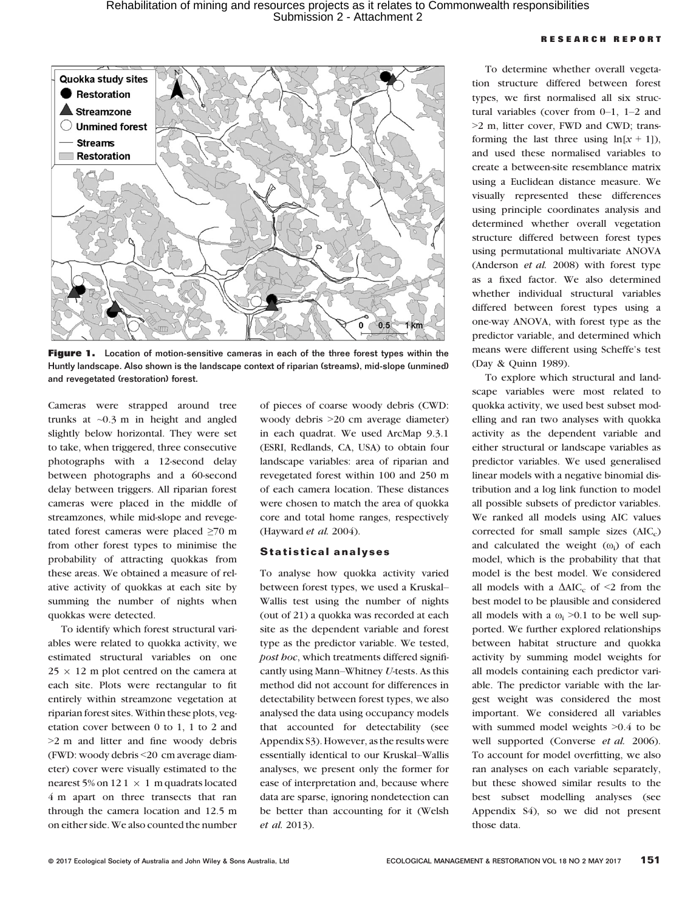

**Figure 1.** Location of motion-sensitive cameras in each of the three forest types within the Huntly landscape. Also shown is the landscape context of riparian (streams), mid-slope (unmined) and revegetated (restoration) forest.

Cameras were strapped around tree trunks at  $\sim 0.3$  m in height and angled slightly below horizontal. They were set to take, when triggered, three consecutive photographs with a 12-second delay between photographs and a 60-second delay between triggers. All riparian forest cameras were placed in the middle of streamzones, while mid-slope and revegetated forest cameras were placed ≥70 m from other forest types to minimise the probability of attracting quokkas from these areas. We obtained a measure of relative activity of quokkas at each site by summing the number of nights when quokkas were detected.

To identify which forest structural variables were related to quokka activity, we estimated structural variables on one  $25 \times 12$  m plot centred on the camera at each site. Plots were rectangular to fit entirely within streamzone vegetation at riparian forest sites. Within these plots, vegetation cover between 0 to 1, 1 to 2 and >2 m and litter and fine woody debris (FWD: woody debris <20 cm average diameter) cover were visually estimated to the nearest 5% on 12 1  $\times$  1 m quadrats located 4 m apart on three transects that ran through the camera location and 12.5 m on either side. We also counted the number of pieces of coarse woody debris (CWD: woody debris >20 cm average diameter) in each quadrat. We used ArcMap 9.3.1 (ESRI, Redlands, CA, USA) to obtain four landscape variables: area of riparian and revegetated forest within 100 and 250 m of each camera location. These distances were chosen to match the area of quokka core and total home ranges, respectively (Hayward et al. 2004).

# Statistical analyses

To analyse how quokka activity varied between forest types, we used a Kruskal– Wallis test using the number of nights (out of 21) a quokka was recorded at each site as the dependent variable and forest type as the predictor variable. We tested, post hoc, which treatments differed significantly using Mann–Whitney U-tests. As this method did not account for differences in detectability between forest types, we also analysed the data using occupancy models that accounted for detectability (see Appendix S3). However, as the results were essentially identical to our Kruskal–Wallis analyses, we present only the former for ease of interpretation and, because where data are sparse, ignoring nondetection can be better than accounting for it (Welsh et al. 2013).

#### **RESEARCH REPORT**

To determine whether overall vegetation structure differed between forest types, we first normalised all six structural variables (cover from 0–1, 1–2 and >2 m, litter cover, FWD and CWD; transforming the last three using  $ln(x + 1)$ , and used these normalised variables to create a between-site resemblance matrix using a Euclidean distance measure. We visually represented these differences using principle coordinates analysis and determined whether overall vegetation structure differed between forest types using permutational multivariate ANOVA (Anderson et al. 2008) with forest type as a fixed factor. We also determined whether individual structural variables differed between forest types using a one-way ANOVA, with forest type as the predictor variable, and determined which means were different using Scheffe's test (Day & Quinn 1989).

To explore which structural and landscape variables were most related to quokka activity, we used best subset modelling and ran two analyses with quokka activity as the dependent variable and either structural or landscape variables as predictor variables. We used generalised linear models with a negative binomial distribution and a log link function to model all possible subsets of predictor variables. We ranked all models using AIC values corrected for small sample sizes  $(AIC<sub>c</sub>)$ and calculated the weight  $(\omega_i)$  of each model, which is the probability that that model is the best model. We considered all models with a  $\triangle AIC_c$  of <2 from the best model to be plausible and considered all models with a  $\omega_i > 0.1$  to be well supported. We further explored relationships between habitat structure and quokka activity by summing model weights for all models containing each predictor variable. The predictor variable with the largest weight was considered the most important. We considered all variables with summed model weights  $>0.4$  to be well supported (Converse et al. 2006). To account for model overfitting, we also ran analyses on each variable separately, but these showed similar results to the best subset modelling analyses (see Appendix S4), so we did not present those data.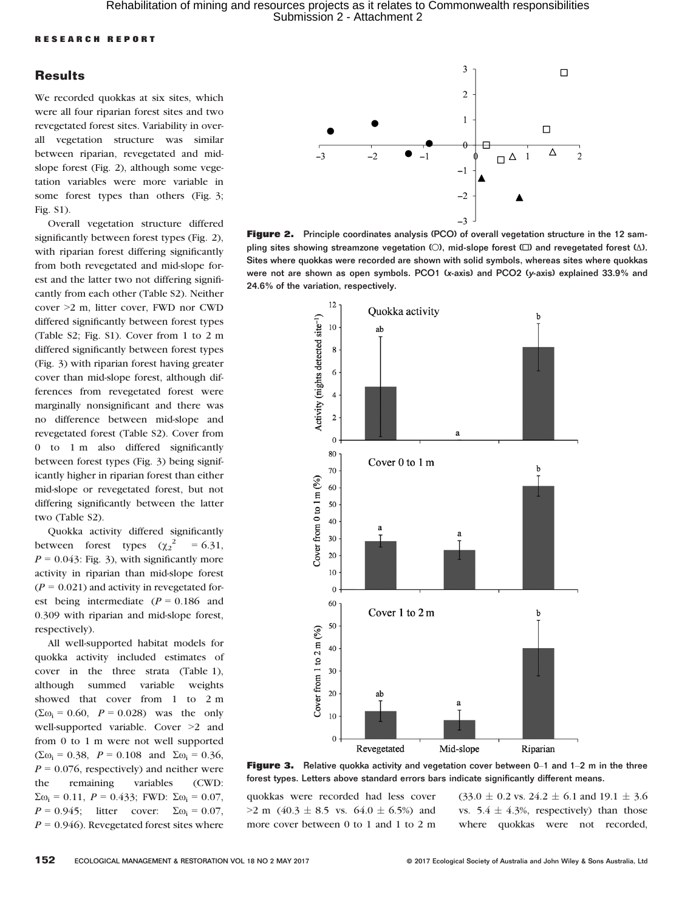**RESEARCH REPORT** 

# **Results**

We recorded quokkas at six sites, which were all four riparian forest sites and two revegetated forest sites. Variability in overall vegetation structure was similar between riparian, revegetated and midslope forest (Fig. 2), although some vegetation variables were more variable in some forest types than others (Fig. 3; Fig. S1).

Overall vegetation structure differed significantly between forest types (Fig. 2), with riparian forest differing significantly from both revegetated and mid-slope forest and the latter two not differing significantly from each other (Table S2). Neither cover >2 m, litter cover, FWD nor CWD differed significantly between forest types (Table S2; Fig. S1). Cover from 1 to 2 m differed significantly between forest types (Fig. 3) with riparian forest having greater cover than mid-slope forest, although differences from revegetated forest were marginally nonsignificant and there was no difference between mid-slope and revegetated forest (Table S2). Cover from 0 to 1 m also differed significantly between forest types (Fig. 3) being significantly higher in riparian forest than either mid-slope or revegetated forest, but not differing significantly between the latter two (Table S2).

Quokka activity differed significantly between forest types  $(\chi_2^2)$  $= 6.31,$  $P = 0.043$ : Fig. 3), with significantly more activity in riparian than mid-slope forest  $(P = 0.021)$  and activity in revegetated forest being intermediate  $(P = 0.186$  and 0.309 with riparian and mid-slope forest, respectively).

All well-supported habitat models for quokka activity included estimates of cover in the three strata (Table 1), although summed variable weights showed that cover from 1 to 2 m  $(\Sigma \omega_i = 0.60, P = 0.028)$  was the only well-supported variable. Cover >2 and from 0 to 1 m were not well supported  $(\Sigma \omega_i = 0.38, P = 0.108 \text{ and } \Sigma \omega_i = 0.36,$  $P = 0.076$ , respectively) and neither were the remaining variables (CWD:  $\Sigma \omega_i = 0.11$ ,  $P = 0.433$ ; FWD:  $\Sigma \omega_i = 0.07$ ,  $P = 0.945$ ; litter cover:  $\Sigma \omega_i = 0.07$ ,  $P = 0.946$ ). Revegetated forest sites where



**Figure 2.** Principle coordinates analysis (PCO) of overall vegetation structure in the 12 sampling sites showing streamzone vegetation (○), mid-slope forest (□) and revegetated forest (Δ). Sites where quokkas were recorded are shown with solid symbols, whereas sites where quokkas were not are shown as open symbols. PCO1 (x-axis) and PCO2 (y-axis) explained 33.9% and 24.6% of the variation, respectively.



**Figure 3.** Relative quokka activity and vegetation cover between 0–1 and 1–2 m in the three forest types. Letters above standard errors bars indicate significantly different means.

quokkas were recorded had less cover  $>2$  m (40.3  $\pm$  8.5 vs. 64.0  $\pm$  6.5%) and more cover between 0 to 1 and 1 to 2 m

 $(33.0 \pm 0.2 \text{ vs. } 24.2 \pm 6.1 \text{ and } 19.1 \pm 3.6$ vs.  $5.4 \pm 4.3\%$ , respectively) than those where quokkas were not recorded,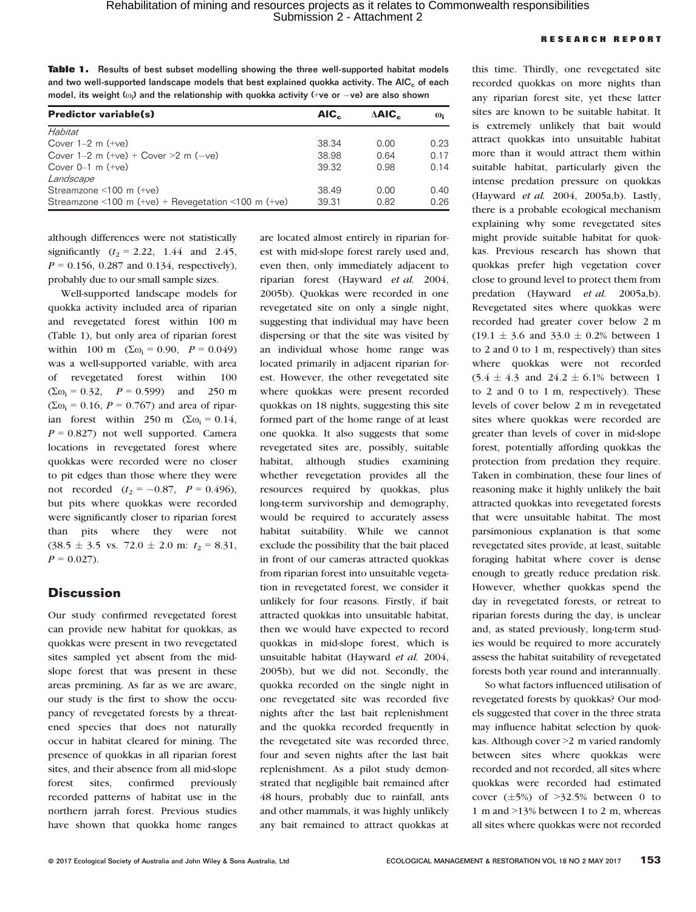**Table 1.** Results of best subset modelling showing the three well-supported habitat models and two well-supported landscape models that best explained quokka activity. The AIC, of each model, its weight  $(\omega_i)$  and the relationship with quokka activity (+ve or  $-\nu e$ ) are also shown

| <b>Predictor variable(s)</b>                        | AIC.  | $\triangle$ AIC. | $\omega_i$ |
|-----------------------------------------------------|-------|------------------|------------|
| Habitat                                             |       |                  |            |
| Cover $1-2$ m $(+ve)$                               | 38.34 | 0.00             | 0.23       |
| Cover 1–2 m $(+ve)$ + Cover >2 m $(-ve)$            | 38.98 | 0.64             | 0.17       |
| Cover $0-1$ m $(+ve)$                               | 39.32 | 0.98             | 0.14       |
| Landscape                                           |       |                  |            |
| Streamzone $\leq 100$ m (+ye)                       | 38.49 | 0.00             | 0.40       |
| Streamzone <100 m (+ve) + Revegetation <100 m (+ve) | 39.31 | 0.82             | 0.26       |

although differences were not statistically significantly  $(t_2 = 2.22, 1.44, 2.45)$  $P = 0.156, 0.287$  and 0.134, respectively), probably due to our small sample sizes.

Well-supported landscape models for quokka activity included area of riparian and revegetated forest within 100 m (Table 1), but only area of riparian forest within 100 m ( $\Sigma \omega_i = 0.90$ ,  $P = 0.049$ ) was a well-supported variable, with area of revegetated forest within 100  $(\Sigma \omega_i = 0.32, P = 0.599)$  and 250 m  $(\Sigma \omega_i = 0.16, P = 0.767)$  and area of riparian forest within 250 m ( $\Sigma \omega_i = 0.14$ ,  $P = 0.827$ ) not well supported. Camera locations in revegetated forest where quokkas were recorded were no closer to pit edges than those where they were not recorded  $(t_2 = -0.87, P = 0.496)$ , but pits where quokkas were recorded were significantly closer to riparian forest than pits where they were not  $(38.5 \pm 3.5 \text{ vs. } 72.0 \pm 2.0 \text{ m}: t_2 = 8.31,$  $P = 0.027$ .

# **Discussion**

Our study confirmed revegetated forest can provide new habitat for quokkas, as quokkas were present in two revegetated sites sampled yet absent from the midslope forest that was present in these areas premining. As far as we are aware, our study is the first to show the occupancy of revegetated forests by a threatened species that does not naturally occur in habitat cleared for mining. The presence of quokkas in all riparian forest sites, and their absence from all mid-slope forest sites, confirmed previously recorded patterns of habitat use in the northern jarrah forest. Previous studies have shown that quokka home ranges are located almost entirely in riparian forest with mid-slope forest rarely used and, even then, only immediately adjacent to riparian forest (Hayward et al. 2004, 2005b). Quokkas were recorded in one revegetated site on only a single night, suggesting that individual may have been dispersing or that the site was visited by an individual whose home range was located primarily in adjacent riparian forest. However, the other revegetated site where quokkas were present recorded quokkas on 18 nights, suggesting this site formed part of the home range of at least one quokka. It also suggests that some revegetated sites are, possibly, suitable habitat, although studies examining whether revegetation provides all the resources required by quokkas, plus long-term survivorship and demography, would be required to accurately assess habitat suitability. While we cannot exclude the possibility that the bait placed in front of our cameras attracted quokkas from riparian forest into unsuitable vegetation in revegetated forest, we consider it unlikely for four reasons. Firstly, if bait attracted quokkas into unsuitable habitat, then we would have expected to record quokkas in mid-slope forest, which is unsuitable habitat (Hayward et al. 2004, 2005b), but we did not. Secondly, the quokka recorded on the single night in one revegetated site was recorded five nights after the last bait replenishment and the quokka recorded frequently in the revegetated site was recorded three, four and seven nights after the last bait replenishment. As a pilot study demonstrated that negligible bait remained after 48 hours, probably due to rainfall, ants and other mammals, it was highly unlikely any bait remained to attract quokkas at

this time. Thirdly, one revegetated site recorded quokkas on more nights than any riparian forest site, yet these latter sites are known to be suitable habitat. It is extremely unlikely that bait would attract quokkas into unsuitable habitat more than it would attract them within suitable habitat, particularly given the intense predation pressure on quokkas (Hayward et al. 2004, 2005a,b). Lastly, there is a probable ecological mechanism explaining why some revegetated sites might provide suitable habitat for quokkas. Previous research has shown that quokkas prefer high vegetation cover close to ground level to protect them from predation (Hayward et al. 2005a,b). Revegetated sites where quokkas were recorded had greater cover below 2 m  $(19.1 \pm 3.6 \text{ and } 33.0 \pm 0.2\% \text{ between } 1)$ to 2 and 0 to 1 m, respectively) than sites where quokkas were not recorded  $(5.4 \pm 4.3 \text{ and } 24.2 \pm 6.1\% \text{ between } 1)$ to 2 and 0 to 1 m, respectively). These levels of cover below 2 m in revegetated sites where quokkas were recorded are greater than levels of cover in mid-slope forest, potentially affording quokkas the protection from predation they require. Taken in combination, these four lines of reasoning make it highly unlikely the bait attracted quokkas into revegetated forests that were unsuitable habitat. The most parsimonious explanation is that some revegetated sites provide, at least, suitable foraging habitat where cover is dense enough to greatly reduce predation risk. However, whether quokkas spend the day in revegetated forests, or retreat to riparian forests during the day, is unclear and, as stated previously, long-term studies would be required to more accurately assess the habitat suitability of revegetated forests both year round and interannually.

So what factors influenced utilisation of revegetated forests by quokkas? Our models suggested that cover in the three strata may influence habitat selection by quokkas. Although cover >2 m varied randomly between sites where quokkas were recorded and not recorded, all sites where quokkas were recorded had estimated cover  $(\pm 5\%)$  of  $>32.5\%$  between 0 to 1 m and >13% between 1 to 2 m, whereas all sites where quokkas were not recorded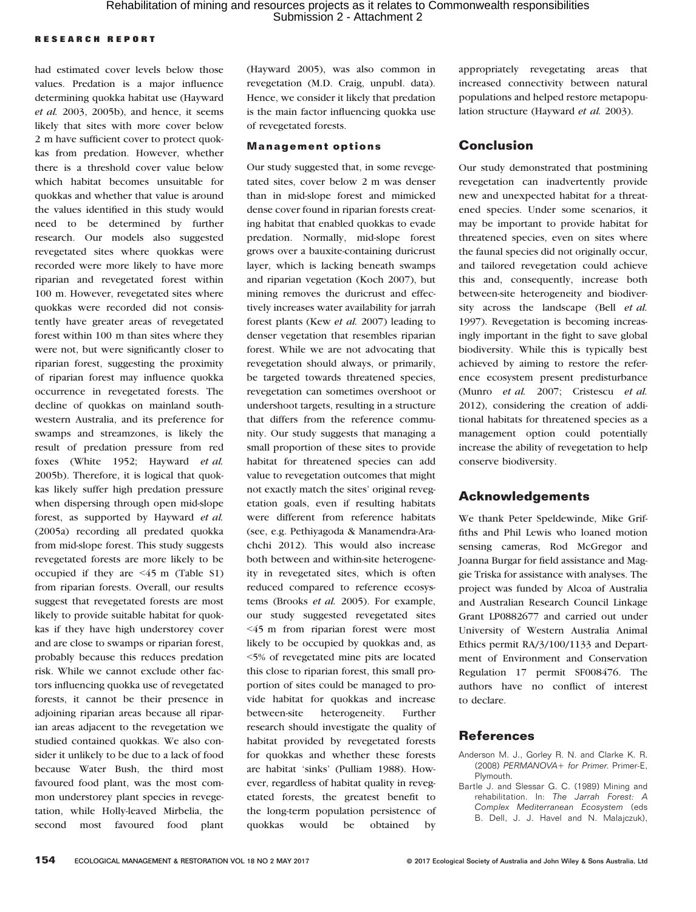## **RESEARCH REPORT**

had estimated cover levels below those values. Predation is a major influence determining quokka habitat use (Hayward et al. 2003, 2005b), and hence, it seems likely that sites with more cover below 2 m have sufficient cover to protect quokkas from predation. However, whether there is a threshold cover value below which habitat becomes unsuitable for quokkas and whether that value is around the values identified in this study would need to be determined by further research. Our models also suggested revegetated sites where quokkas were recorded were more likely to have more riparian and revegetated forest within 100 m. However, revegetated sites where quokkas were recorded did not consistently have greater areas of revegetated forest within 100 m than sites where they were not, but were significantly closer to riparian forest, suggesting the proximity of riparian forest may influence quokka occurrence in revegetated forests. The decline of quokkas on mainland southwestern Australia, and its preference for swamps and streamzones, is likely the result of predation pressure from red foxes (White 1952; Hayward et al. 2005b). Therefore, it is logical that quokkas likely suffer high predation pressure when dispersing through open mid-slope forest, as supported by Hayward et al. (2005a) recording all predated quokka from mid-slope forest. This study suggests revegetated forests are more likely to be occupied if they are <45 m (Table S1) from riparian forests. Overall, our results suggest that revegetated forests are most likely to provide suitable habitat for quokkas if they have high understorey cover and are close to swamps or riparian forest, probably because this reduces predation risk. While we cannot exclude other factors influencing quokka use of revegetated forests, it cannot be their presence in adjoining riparian areas because all riparian areas adjacent to the revegetation we studied contained quokkas. We also consider it unlikely to be due to a lack of food because Water Bush, the third most favoured food plant, was the most common understorey plant species in revegetation, while Holly-leaved Mirbelia, the second most favoured food plant

(Hayward 2005), was also common in revegetation (M.D. Craig, unpubl. data). Hence, we consider it likely that predation is the main factor influencing quokka use of revegetated forests.

#### Management options

Our study suggested that, in some revegetated sites, cover below 2 m was denser than in mid-slope forest and mimicked dense cover found in riparian forests creating habitat that enabled quokkas to evade predation. Normally, mid-slope forest grows over a bauxite-containing duricrust layer, which is lacking beneath swamps and riparian vegetation (Koch 2007), but mining removes the duricrust and effectively increases water availability for jarrah forest plants (Kew et al. 2007) leading to denser vegetation that resembles riparian forest. While we are not advocating that revegetation should always, or primarily, be targeted towards threatened species, revegetation can sometimes overshoot or undershoot targets, resulting in a structure that differs from the reference community. Our study suggests that managing a small proportion of these sites to provide habitat for threatened species can add value to revegetation outcomes that might not exactly match the sites' original revegetation goals, even if resulting habitats were different from reference habitats (see, e.g. Pethiyagoda & Manamendra-Arachchi 2012). This would also increase both between and within-site heterogeneity in revegetated sites, which is often reduced compared to reference ecosystems (Brooks et al. 2005). For example, our study suggested revegetated sites <45 m from riparian forest were most likely to be occupied by quokkas and, as <5% of revegetated mine pits are located this close to riparian forest, this small proportion of sites could be managed to provide habitat for quokkas and increase between-site heterogeneity. Further research should investigate the quality of habitat provided by revegetated forests for quokkas and whether these forests are habitat 'sinks' (Pulliam 1988). However, regardless of habitat quality in revegetated forests, the greatest benefit to the long-term population persistence of quokkas would be obtained by appropriately revegetating areas that increased connectivity between natural populations and helped restore metapopulation structure (Hayward et al. 2003).

# Conclusion

Our study demonstrated that postmining revegetation can inadvertently provide new and unexpected habitat for a threatened species. Under some scenarios, it may be important to provide habitat for threatened species, even on sites where the faunal species did not originally occur, and tailored revegetation could achieve this and, consequently, increase both between-site heterogeneity and biodiversity across the landscape (Bell *et al.*) 1997). Revegetation is becoming increasingly important in the fight to save global biodiversity. While this is typically best achieved by aiming to restore the reference ecosystem present predisturbance (Munro et al. 2007; Cristescu et al. 2012), considering the creation of additional habitats for threatened species as a management option could potentially increase the ability of revegetation to help conserve biodiversity.

# Acknowledgements

We thank Peter Speldewinde, Mike Griffiths and Phil Lewis who loaned motion sensing cameras, Rod McGregor and Joanna Burgar for field assistance and Maggie Triska for assistance with analyses. The project was funded by Alcoa of Australia and Australian Research Council Linkage Grant LP0882677 and carried out under University of Western Australia Animal Ethics permit RA/3/100/1133 and Department of Environment and Conservation Regulation 17 permit SF008476. The authors have no conflict of interest to declare.

## **References**

- Anderson M. J., Gorley R. N. and Clarke K. R. (2008) PERMANOVA+ for Primer. Primer-E, Plymouth.
- Bartle J. and Slessar G. C. (1989) Mining and rehabilitation. In: The Jarrah Forest: A Complex Mediterranean Ecosystem (eds B. Dell, J. J. Havel and N. Malajczuk),